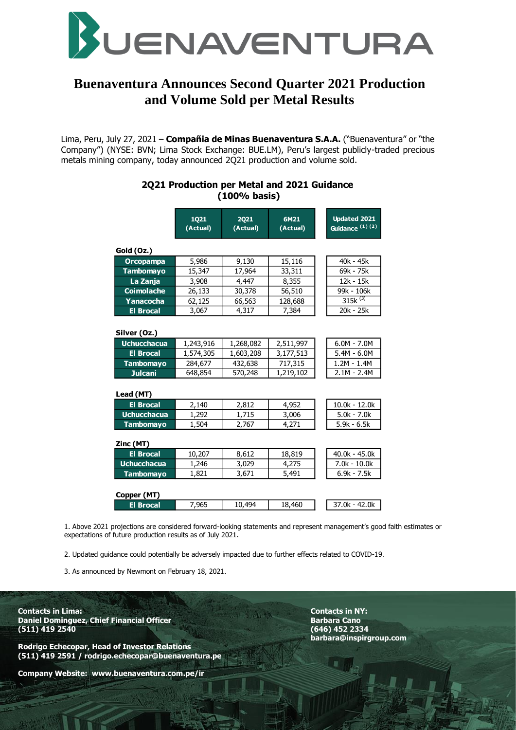

# **Buenaventura Announces Second Quarter 2021 Production and Volume Sold per Metal Results**

Lima, Peru, July 27, 2021 – **Compañia de Minas Buenaventura S.A.A.** ("Buenaventura" or "the Company") (NYSE: BVN; Lima Stock Exchange: BUE.LM), Peru's largest publicly-traded precious metals mining company, today announced 2Q21 production and volume sold.

|                                    | (100% basis)            |                  |                  |                                                   |
|------------------------------------|-------------------------|------------------|------------------|---------------------------------------------------|
|                                    | <b>1Q21</b><br>(Actual) | 2021<br>(Actual) | 6M21<br>(Actual) | <b>Updated 2021</b><br>Guidance <sup>(1)(2)</sup> |
| Gold (Oz.)                         |                         |                  |                  |                                                   |
| Orcopampa                          | 5,986                   | 9,130            | 15,116           | 40k - 45k                                         |
| <b>Tambomayo</b>                   | 15,347                  | 17,964           | 33,311           | 69k - 75k                                         |
| La Zanja                           | 3,908                   | 4,447            | 8,355            | 12k - 15k                                         |
| <b>Coimolache</b>                  | 26,133                  | 30,378           | 56,510           | 99k - 106k                                        |
| Yanacocha                          | 62,125                  | 66,563           | 128,688          | $315k^{(3)}$                                      |
| <b>El Brocal</b>                   | 3,067                   | 4.317            | 7,384            | 20k - 25k                                         |
| Silver (Oz.)<br><b>Uchucchacua</b> | 1,243,916               | 1,268,082        | 2,511,997        | $6.0M - 7.0M$                                     |
|                                    |                         |                  |                  |                                                   |
| <b>El Brocal</b>                   | 1,574,305               | 1,603,208        | 3,177,513        | $5.4M - 6.0M$                                     |
| <b>Tambomayo</b>                   | 284,677                 | 432,638          | 717,315          | $1.2M - 1.4M$                                     |
| <b>Julcani</b>                     | 648,854                 | 570,248          | 1,219,102        | $2.1M - 2.4M$                                     |
| Lead (MT)                          |                         |                  |                  |                                                   |
| <b>El Brocal</b>                   | 2,140                   | 2,812            | 4,952            | $10.0k - 12.0k$                                   |
| <b>Uchucchacua</b>                 | 1,292                   | 1,715            | 3,006            | $5.0k - 7.0k$                                     |
| <b>Tambomayo</b>                   | 1,504                   | 2,767            | 4,271            | $5.9k - 6.5k$                                     |
| Zinc (MT)                          |                         |                  |                  |                                                   |
| <b>El Brocal</b>                   | 10,207                  | 8,612            | 18,819           | $40.0k - 45.0k$                                   |
| <b>Uchucchacua</b>                 | 1,246                   | 3,029            | 4,275            | $7.0k - 10.0k$                                    |
| <b>Tambomayo</b>                   | 1,821                   | 3,671            | 5,491            | $6.9k - 7.5k$                                     |
| Copper (MT)                        |                         |                  |                  |                                                   |
| <b>El Brocal</b>                   | 7.965                   | 10,494           | 18,460           | $37.0k - 42.0k$                                   |

**2Q21 Production per Metal and 2021 Guidance**

1. Above 2021 projections are considered forward-looking statements and represent management's good faith estimates or expectations of future production results as of July 2021.

2. Updated guidance could potentially be adversely impacted due to further effects related to COVID-19.

3. As announced by Newmont on February 18, 2021.

**Contacts in Lima: Contacts in NY: Daniel Dominguez, Chief Financial Officer Chief Canonic Barbara Canonic Barbara Canonic Barbara Cano (511) 419 2540 (646) 452 2334**

**Rodrigo Echecopar, Head of Investor Relations (511) 419 2591 / rodrigo.echecopar@buenaventura.pe** 

**Company Website: www.buenaventura.com.pe/ir**

**barbara@inspirgroup.com**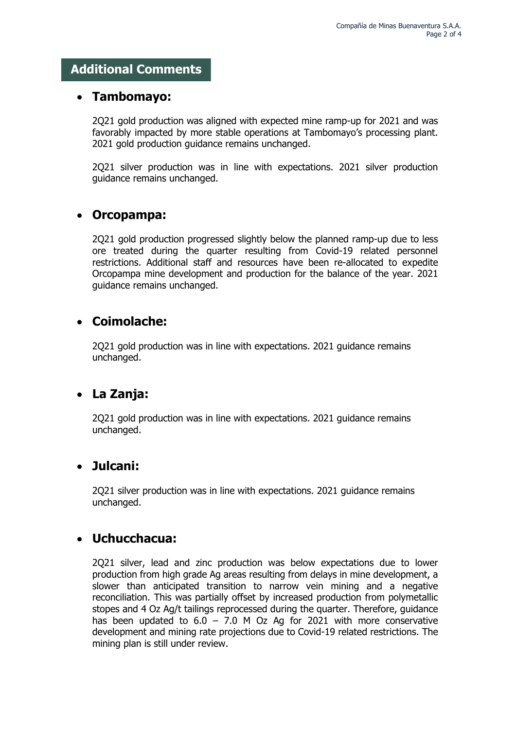## **Additional Comments**

### **Tambomayo:**

2Q21 gold production was aligned with expected mine ramp-up for 2021 and was favorably impacted by more stable operations at Tambomayo's processing plant. 2021 gold production guidance remains unchanged.

2Q21 silver production was in line with expectations. 2021 silver production guidance remains unchanged.

## **Orcopampa:**

2Q21 gold production progressed slightly below the planned ramp-up due to less ore treated during the quarter resulting from Covid-19 related personnel restrictions. Additional staff and resources have been re-allocated to expedite Orcopampa mine development and production for the balance of the year. 2021 guidance remains unchanged.

## **Coimolache:**

2Q21 gold production was in line with expectations. 2021 guidance remains unchanged.

## **La Zanja:**

2Q21 gold production was in line with expectations. 2021 guidance remains unchanged.

## **Julcani:**

2Q21 silver production was in line with expectations. 2021 guidance remains unchanged.

# **Uchucchacua:**

2Q21 silver, lead and zinc production was below expectations due to lower production from high grade Ag areas resulting from delays in mine development, a slower than anticipated transition to narrow vein mining and a negative reconciliation. This was partially offset by increased production from polymetallic stopes and 4 Oz Ag/t tailings reprocessed during the quarter. Therefore, guidance has been updated to  $6.0 - 7.0$  M Oz Ag for 2021 with more conservative development and mining rate projections due to Covid-19 related restrictions. The mining plan is still under review.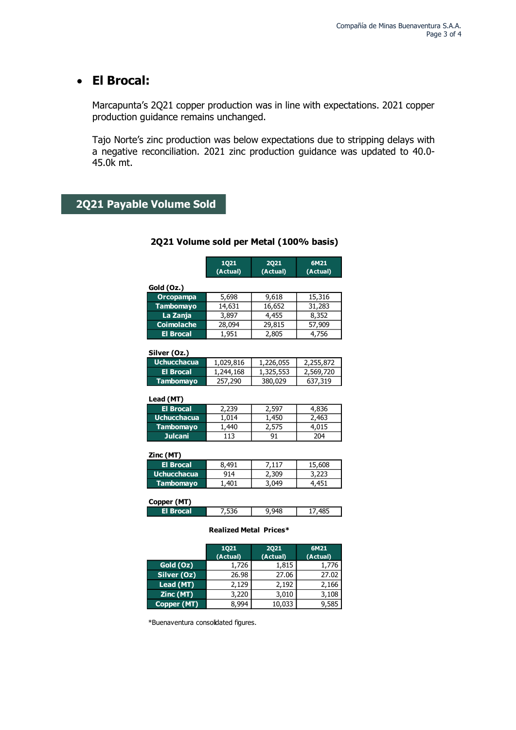# **El Brocal:**

Marcapunta's 2Q21 copper production was in line with expectations. 2021 copper production guidance remains unchanged.

Tajo Norte's zinc production was below expectations due to stripping delays with a negative reconciliation. 2021 zinc production guidance was updated to 40.0- 45.0k mt.

### **2Q21 Payable Volume Sold**

|                   | 1021<br>(Actual) | 2021<br>(Actual) | 6M21<br>(Actual) |
|-------------------|------------------|------------------|------------------|
| Gold (Oz.)        |                  |                  |                  |
| Orcopampa         | 5,698            | 9,618            | 15,316           |
| <b>Tambomayo</b>  | 14,631           | 16,652           | 31,283           |
| La Zanja          | 3,897            | 4,455            | 8,352            |
| <b>Coimolache</b> | 28,094           | 29,815           | 57,909           |
| <b>El Brocal</b>  | 1.951            | 2,805            | 4.756            |

### **2Q21 Volume sold per Metal (100% basis)**

### **Silver (Oz.)**

| , טער וטיויט       |           |           |           |
|--------------------|-----------|-----------|-----------|
| <b>Uchucchacua</b> | 1,029,816 | 1,226,055 | 2,255,872 |
| El Brocal          | 1,244,168 | 1,325,553 | 2,569,720 |
| <b>Tambomayo</b>   | 257,290   | 380,029   | 637,319   |
|                    |           |           |           |

#### **Lead (MT)**

| <b>El Brocal</b>     |    |    | 836. |
|----------------------|----|----|------|
| <b>Uchucchacua</b>   |    |    |      |
| <b>Tambomayo</b>     |    |    |      |
| Julcani <sup>.</sup> | 13 | ٩, | 104  |

#### **Zinc (MT)**

| El Brocal          | 401 |       | 608 |
|--------------------|-----|-------|-----|
| <b>Uchucchacua</b> | 414 | ۔309، |     |
| <b>Tambomayo</b>   | 401 | በ49   |     |
|                    |     |       |     |

| Copper (MT) |  |  |
|-------------|--|--|
| El Brocal   |  |  |

#### **Realized Metal Prices\***

|             | 1021<br>(Actual) | 2021<br>(Actual) | 6M21<br>(Actual) |
|-------------|------------------|------------------|------------------|
| Gold (Oz)   | 1,726            | 1,815            | 1,776            |
| Silver (Oz) | 26.98            | 27.06            | 27.02            |
| Lead (MT)   | 2,129            | 2,192            | 2,166            |
| Zinc (MT)   | 3,220            | 3,010            | 3,108            |
| Copper (MT) | 8,994            | 10,033           | 9,585            |

\*Buenaventura consolidated figures.